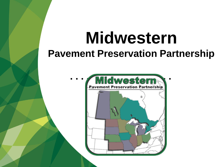# **Midwestern Pavement Preservation Partnership**

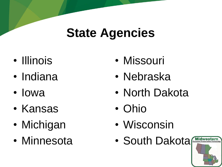### **State Agencies**

- Illinois
- Indiana
- Iowa
- Kansas
- Michigan
- Minnesota
- Missouri
- Nebraska
- North Dakota
- Ohio
- Wisconsin
- South Dakota

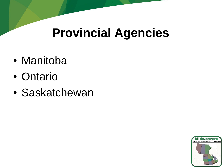### **Provincial Agencies**

- Manitoba
- Ontario
- Saskatchewan

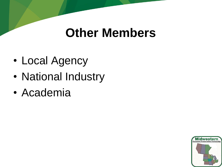#### **Other Members**

- Local Agency
- National Industry
- Academia

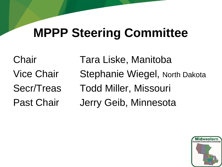## **MPPP Steering Committee**

Chair Tara Liske, Manitoba Vice Chair Stephanie Wiegel, North Dakota Secr/Treas Todd Miller, Missouri Past Chair Jerry Geib, Minnesota

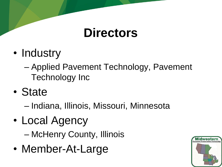#### **Directors**

- Industry
	- Applied Pavement Technology, Pavement Technology Inc
- State
	- Indiana, Illinois, Missouri, Minnesota
- Local Agency
	- McHenry County, Illinois
- Member-At-Large

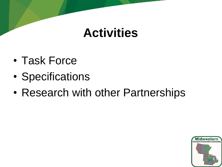#### **Activities**

- Task Force
- Specifications
- Research with other Partnerships

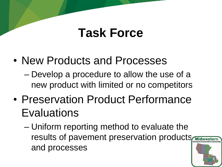#### **Task Force**

- New Products and Processes
	- Develop a procedure to allow the use of a new product with limited or no competitors
- Preservation Product Performance **Evaluations** 
	- Uniform reporting method to evaluate the results of pavement preservation products and processes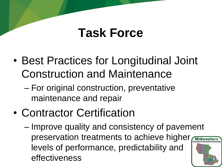#### **Task Force**

- Best Practices for Longitudinal Joint Construction and Maintenance
	- For original construction, preventative maintenance and repair
- Contractor Certification
	- Improve quality and consistency of pavement preservation treatments to achieve higher levels of performance, predictability and effectiveness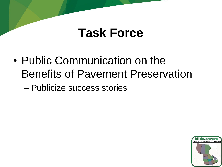#### **Task Force**

• Public Communication on the Benefits of Pavement Preservation

– Publicize success stories

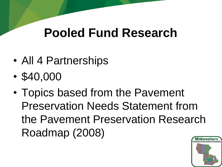### **Pooled Fund Research**

- All 4 Partnerships
- \$40,000
- Topics based from the Pavement Preservation Needs Statement from the Pavement Preservation Research Roadmap (2008)

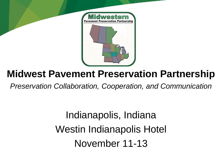

#### **Midwest Pavement Preservation Partnership**

*Preservation Collaboration, Cooperation, and Communication*

Indianapolis, Indiana Westin Indianapolis Hotel November 11-13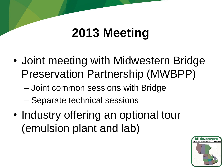## **2013 Meeting**

- Joint meeting with Midwestern Bridge Preservation Partnership (MWBPP)
	- Joint common sessions with Bridge
	- Separate technical sessions
- Industry offering an optional tour (emulsion plant and lab)

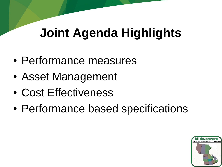## **Joint Agenda Highlights**

- Performance measures
- Asset Management
- Cost Effectiveness
- Performance based specifications

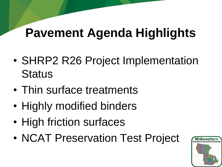## **Pavement Agenda Highlights**

- SHRP2 R26 Project Implementation **Status**
- Thin surface treatments
- Highly modified binders
- High friction surfaces
- NCAT Preservation Test Project